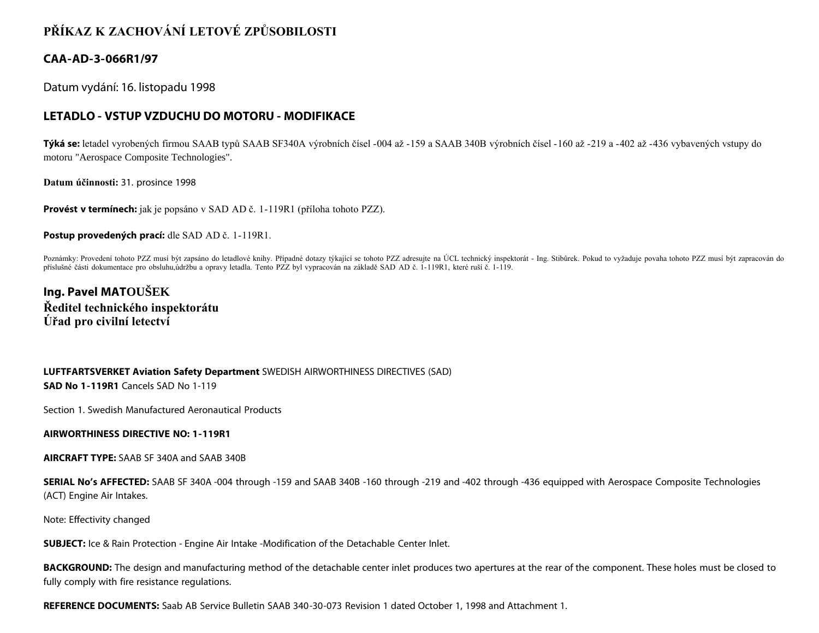## **PŘÍKAZ K ZACHOVÁNÍ LETOVÉ ZPŮSOBILOSTI**

## **CAA-AD-3-066R1/97**

Datum vydání: 16. listopadu 1998

## **LETADLO - VSTUP VZDUCHU DO MOTORU - MODIFIKACE**

**Týká se:** letadel vyrobených firmou SAAB typů SAAB SF340A výrobních čísel -004 až -159 a SAAB 340B výrobních čísel -160 až -219 a -402 až -436 vybavených vstupy do motoru "Aerospace Composite Technologies".

**Datum účinnosti:** 31. prosince 1998

**Provést v termínech:** jak je popsáno v SAD AD č. 1-119R1 (příloha tohoto PZZ).

**Postup provedených prací:** dle SAD AD č. 1-119R1.

Poznámky: Provedení tohoto PZZ musí být zapsáno do letadlové knihy. Případné dotazy týkající se tohoto PZZ adresujte na ÚCL technický inspektorát - Ing. Stibůrek. Pokud to vyžaduje povaha tohoto PZZ musí být zapracován do příslušné části dokumentace pro obsluhu,údržbu a opravy letadla. Tento PZZ byl vypracován na základě SAD AD č. 1-119R1, které ruší č. 1-119.

**Ing. Pavel MATOUŠEK Ředitel technického inspektorátu Úřad pro civilní letectví**

**LUFTFARTSVERKET Aviation Safety Department** SWEDISH AIRWORTHINESS DIRECTIVES (SAD) **SAD No 1-119R1** Cancels SAD No 1-119

Section 1. Swedish Manufactured Aeronautical Products

**AIRWORTHINESS DIRECTIVE NO: 1-119R1**

**AIRCRAFT TYPE:** SAAB SF 340A and SAAB 340B

**SERIAL No's AFFECTED:** SAAB SF 340A -004 through -159 and SAAB 340B -160 through -219 and -402 through -436 equipped with Aerospace Composite Technologies (ACT) Engine Air Intakes.

Note: Effectivity changed

**SUBJECT:** Ice & Rain Protection - Engine Air Intake -Modification of the Detachable Center Inlet.

BACKGROUND: The design and manufacturing method of the detachable center inlet produces two apertures at the rear of the component. These holes must be closed to fully comply with fire resistance regulations.

**REFERENCE DOCUMENTS:** Saab AB Service Bulletin SAAB 340-30-073 Revision 1 dated October 1, 1998 and Attachment 1.